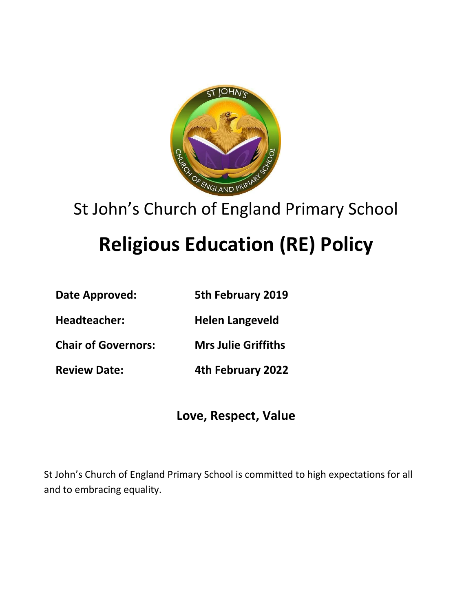

## St John's Church of England Primary School

# **Religious Education (RE) Policy**

- **Date Approved: 5th February 2019**
- **Headteacher: Helen Langeveld**
- **Chair of Governors: Mrs Julie Griffiths**
- **Review Date: 4th February 2022**

**Love, Respect, Value**

St John's Church of England Primary School is committed to high expectations for all and to embracing equality.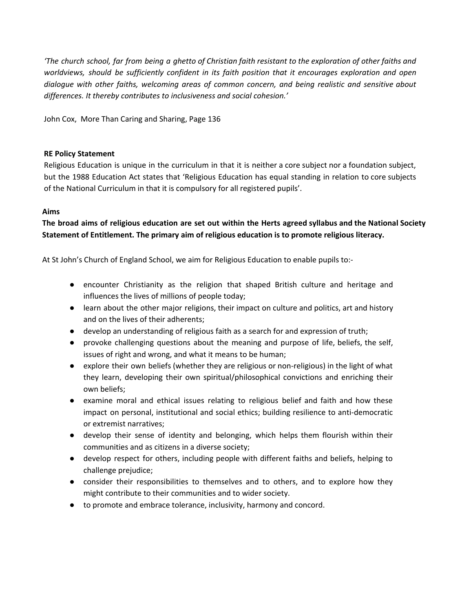The church school, far from being a ghetto of Christian faith resistant to the exploration of other faiths and *worldviews, should be sufficiently confident in its faith position that it encourages exploration and open dialogue with other faiths, welcoming areas of common concern, and being realistic and sensitive about differences. It thereby contributes to inclusiveness and social cohesion.'*

John Cox, More Than Caring and Sharing, Page 136

#### **RE Policy Statement**

Religious Education is unique in the curriculum in that it is neither a core subject nor a foundation subject, but the 1988 Education Act states that 'Religious Education has equal standing in relation to core subjects of the National Curriculum in that it is compulsory for all registered pupils'.

### **Aims**

The broad aims of religious education are set out within the Herts agreed syllabus and the National Society **Statement of Entitlement. The primary aim of religious education is to promote religious literacy.**

At St John's Church of England School, we aim for Religious Education to enable pupils to:-

- encounter Christianity as the religion that shaped British culture and heritage and influences the lives of millions of people today;
- learn about the other major religions, their impact on culture and politics, art and history and on the lives of their adherents;
- develop an understanding of religious faith as a search for and expression of truth;
- provoke challenging questions about the meaning and purpose of life, beliefs, the self, issues of right and wrong, and what it means to be human;
- explore their own beliefs (whether they are religious or non-religious) in the light of what they learn, developing their own spiritual/philosophical convictions and enriching their own beliefs;
- examine moral and ethical issues relating to religious belief and faith and how these impact on personal, institutional and social ethics; building resilience to anti-democratic or extremist narratives;
- develop their sense of identity and belonging, which helps them flourish within their communities and as citizens in a diverse society;
- develop respect for others, including people with different faiths and beliefs, helping to challenge prejudice;
- consider their responsibilities to themselves and to others, and to explore how they might contribute to their communities and to wider society.
- to promote and embrace tolerance, inclusivity, harmony and concord.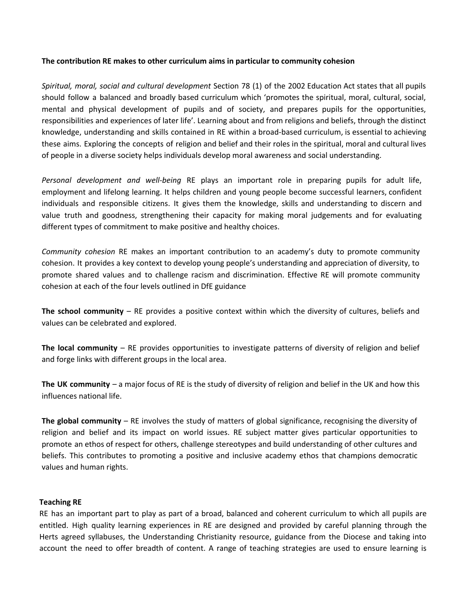#### **The contribution RE makes to other curriculum aims in particular to community cohesion**

*Spiritual, moral, social and cultural development* Section 78 (1) of the 2002 Education Act states that all pupils should follow a balanced and broadly based curriculum which 'promotes the spiritual, moral, cultural, social, mental and physical development of pupils and of society, and prepares pupils for the opportunities, responsibilities and experiences of later life'. Learning about and from religions and beliefs, through the distinct knowledge, understanding and skills contained in RE within a broad-based curriculum, is essential to achieving these aims. Exploring the concepts of religion and belief and their roles in the spiritual, moral and cultural lives of people in a diverse society helps individuals develop moral awareness and social understanding.

*Personal development and well-being* RE plays an important role in preparing pupils for adult life, employment and lifelong learning. It helps children and young people become successful learners, confident individuals and responsible citizens. It gives them the knowledge, skills and understanding to discern and value truth and goodness, strengthening their capacity for making moral judgements and for evaluating different types of commitment to make positive and healthy choices.

*Community cohesion* RE makes an important contribution to an academy's duty to promote community cohesion. It provides a key context to develop young people's understanding and appreciation of diversity, to promote shared values and to challenge racism and discrimination. Effective RE will promote community cohesion at each of the four levels outlined in DfE guidance

**The school community** – RE provides a positive context within which the diversity of cultures, beliefs and values can be celebrated and explored.

**The local community** – RE provides opportunities to investigate patterns of diversity of religion and belief and forge links with different groups in the local area.

**The UK community** – a major focus of RE is the study of diversity of religion and belief in the UK and how this influences national life.

**The global community** – RE involves the study of matters of global significance, recognising the diversity of religion and belief and its impact on world issues. RE subject matter gives particular opportunities to promote an ethos of respect for others, challenge stereotypes and build understanding of other cultures and beliefs. This contributes to promoting a positive and inclusive academy ethos that champions democratic values and human rights.

#### **Teaching RE**

RE has an important part to play as part of a broad, balanced and coherent curriculum to which all pupils are entitled. High quality learning experiences in RE are designed and provided by careful planning through the Herts agreed syllabuses, the Understanding Christianity resource, guidance from the Diocese and taking into account the need to offer breadth of content. A range of teaching strategies are used to ensure learning is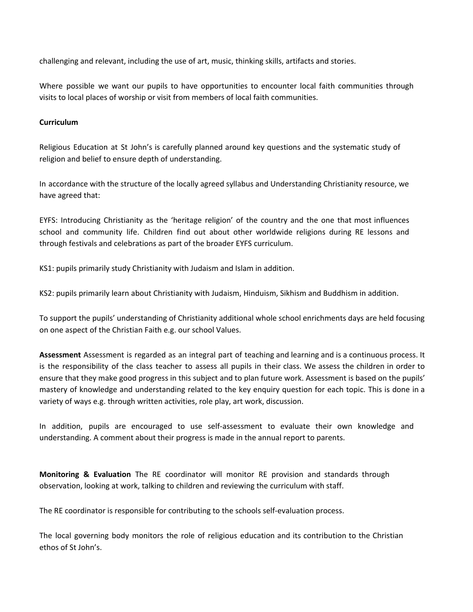challenging and relevant, including the use of art, music, thinking skills, artifacts and stories.

Where possible we want our pupils to have opportunities to encounter local faith communities through visits to local places of worship or visit from members of local faith communities.

#### **Curriculum**

Religious Education at St John's is carefully planned around key questions and the systematic study of religion and belief to ensure depth of understanding.

In accordance with the structure of the locally agreed syllabus and Understanding Christianity resource, we have agreed that:

EYFS: Introducing Christianity as the 'heritage religion' of the country and the one that most influences school and community life. Children find out about other worldwide religions during RE lessons and through festivals and celebrations as part of the broader EYFS curriculum.

KS1: pupils primarily study Christianity with Judaism and Islam in addition.

KS2: pupils primarily learn about Christianity with Judaism, Hinduism, Sikhism and Buddhism in addition.

To support the pupils' understanding of Christianity additional whole school enrichments days are held focusing on one aspect of the Christian Faith e.g. our school Values.

**Assessment** Assessment is regarded as an integral part of teaching and learning and is a continuous process. It is the responsibility of the class teacher to assess all pupils in their class. We assess the children in order to ensure that they make good progress in this subject and to plan future work. Assessment is based on the pupils' mastery of knowledge and understanding related to the key enquiry question for each topic. This is done in a variety of ways e.g. through written activities, role play, art work, discussion.

In addition, pupils are encouraged to use self-assessment to evaluate their own knowledge and understanding. A comment about their progress is made in the annual report to parents.

**Monitoring & Evaluation** The RE coordinator will monitor RE provision and standards through observation, looking at work, talking to children and reviewing the curriculum with staff.

The RE coordinator is responsible for contributing to the schools self-evaluation process.

The local governing body monitors the role of religious education and its contribution to the Christian ethos of St John's.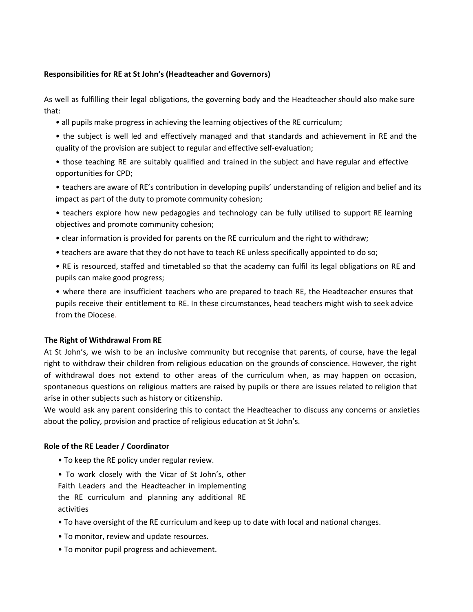#### **Responsibilities for RE at St John's (Headteacher and Governors)**

As well as fulfilling their legal obligations, the governing body and the Headteacher should also make sure that:

- all pupils make progress in achieving the learning objectives of the RE curriculum;
- the subject is well led and effectively managed and that standards and achievement in RE and the quality of the provision are subject to regular and effective self-evaluation;
- those teaching RE are suitably qualified and trained in the subject and have regular and effective opportunities for CPD;
- teachers are aware of RE's contribution in developing pupils' understanding of religion and belief and its impact as part of the duty to promote community cohesion;
- teachers explore how new pedagogies and technology can be fully utilised to support RE learning objectives and promote community cohesion;
- clear information is provided for parents on the RE curriculum and the right to withdraw;
- teachers are aware that they do not have to teach RE unless specifically appointed to do so;
- RE is resourced, staffed and timetabled so that the academy can fulfil its legal obligations on RE and pupils can make good progress;
- where there are insufficient teachers who are prepared to teach RE, the Headteacher ensures that pupils receive their entitlement to RE. In these circumstances, head teachers might wish to seek advice from the Diocese.

#### **The Right of Withdrawal From RE**

At St John's, we wish to be an inclusive community but recognise that parents, of course, have the legal right to withdraw their children from religious education on the grounds of conscience. However, the right of withdrawal does not extend to other areas of the curriculum when, as may happen on occasion, spontaneous questions on religious matters are raised by pupils or there are issues related to religion that arise in other subjects such as history or citizenship.

We would ask any parent considering this to contact the Headteacher to discuss any concerns or anxieties about the policy, provision and practice of religious education at St John's.

#### **Role of the RE Leader / Coordinator**

- To keep the RE policy under regular review.
- To work closely with the Vicar of St John's, other Faith Leaders and the Headteacher in implementing the RE curriculum and planning any additional RE activities
- To have oversight of the RE curriculum and keep up to date with local and national changes.
- To monitor, review and update resources.
- To monitor pupil progress and achievement.